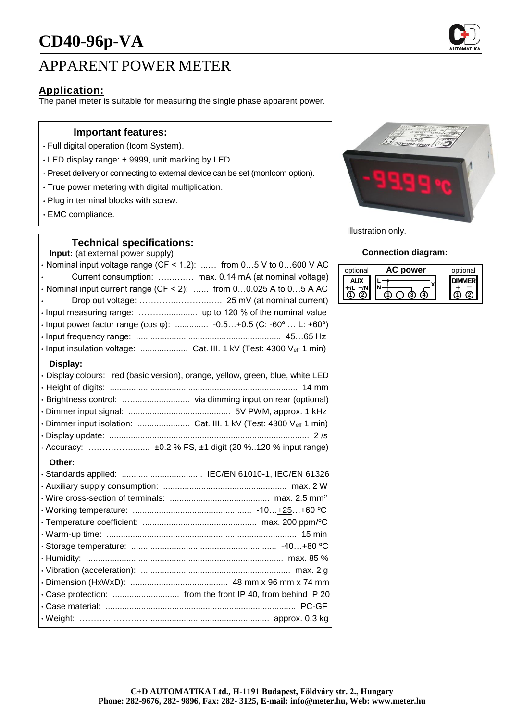

## APPARENT POWER METER

## **Application:**

The panel meter is suitable for measuring the single phase apparent power.

#### **Important features:**

- Full digital operation (Icom System).
- LED display range: ± 9999, unit marking by LED.
- Preset delivery or connecting to external device can be set (monIcom option).
- True power metering with digital multiplication.
- Plug in terminal blocks with screw.
- EMC compliance.

### **Technical specifications:**

**Input:** (at external power supply)

 $\cdot$  Nominal input voltage range (CF < 1.2): ...... from 0...5 V to 0...600 V AC • Current consumption: …..….…. max. 0.14 mA (at nominal voltage)  $\cdot$  Nominal input current range (CF < 2): ...... from 0...0.025 A to 0...5 A AC • Drop out voltage: …………..………...…. 25 mV (at nominal current) • Input measuring range: ……….............. up to 120 % of the nominal value • Input power factor range (cos φ): .............. -0.5…+0.5 (C: -60º … L: +60º) • Input frequency range: ............................................................. 45…65 Hz • Input insulation voltage: .................... Cat. III. 1 kV (Test: 4300 Veff 1 min) **Display:** • Display colours: red (basic version), orange, yellow, green, blue, white LED • Height of digits: ............................................................................... 14 mm • Brightness control: …......................... via dimming input on rear (optional) • Dimmer input signal: ........................................... 5V PWM, approx. 1 kHz • Dimmer input isolation: ........................... Cat. III. 1 kV (Test: 4300 Veff 1 min) • Display update: .................................................................................... 2 /s • Accuracy: ……………........ ±0.2 % FS, ±1 digit (20 %..120 % input range) **Other:** • Standards applied: .................................. IEC/EN 61010-1, IEC/EN 61326 • Auxiliary supply consumption: .................................................... max. 2 W • Wire cross-section of terminals: .......................................... max. 2.5 mm<sup>2</sup> • Working temperature: .................................................. -10…+25…+60 ºC • Temperature coefficient: ................................................ max. 200 ppm/ºC

• Warm-up time: ................................................................................ 15 min • Storage temperature: ............................................................. -40…+80 ºC • Humidity: ................................................................................... max. 85 % • Vibration (acceleration): ............................................................... max. 2 g • Dimension (HxWxD): ......................................... 48 mm x 96 mm x 74 mm • Case protection: ............................ from the front IP 40, from behind IP 20 • Case material: ................................................................................ PC-GF • Weight: ……………………................................................... approx. 0.3 kg



Illustration only.

#### **Connection diagram:**

| optional | power | optional |
|----------|-------|----------|
|          |       |          |